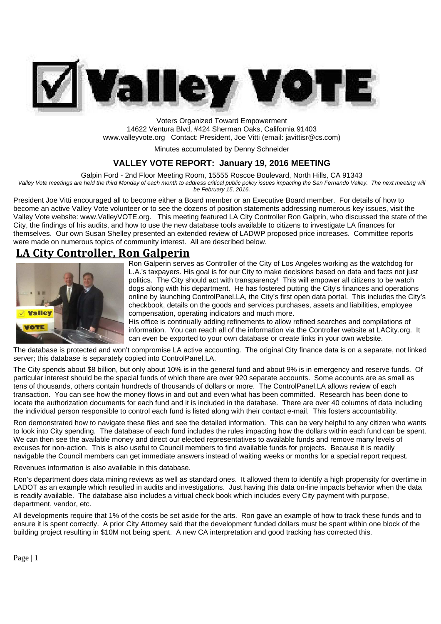

Voters Organized Toward Empowerment 14622 Ventura Blvd, #424 Sherman Oaks, California 91403 www.valleyvote.org Contact: President, Joe Vitti (email: javittisr@cs.com)

Minutes accumulated by Denny Schneider

## **VALLEY VOTE REPORT: January 19, 2016 MEETING**

Galpin Ford - 2nd Floor Meeting Room, 15555 Roscoe Boulevard, North Hills, CA 91343

*Valley Vote meetings are held the third Monday of each month to address critical public policy issues impacting the San Fernando Valley. The next meeting will be February 15, 2016.*

President Joe Vitti encouraged all to become either a Board member or an Executive Board member. For details of how to become an active Valley Vote volunteer or to see the dozens of position statements addressing numerous key issues, visit the Valley Vote website: www.ValleyVOTE.org. This meeting featured LA City Controller Ron Galprin, who discussed the state of the City, the findings of his audits, and how to use the new database tools available to citizens to investigate LA finances for themselves. Our own Susan Shelley presented an extended review of LADWP proposed price increases. Committee reports were made on numerous topics of community interest. All are described below.

# **LA City Controller, Ron Galperin**



Ron Galperin serves as Controller of the City of Los Angeles working as the watchdog for L.A.'s taxpayers. His goal is for our City to make decisions based on data and facts not just politics. The City should act with transparency! This will empower all citizens to be watch dogs along with his department. He has fostered putting the City's finances and operations online by launching ControlPanel.LA, the City's first open data portal. This includes the City's checkbook, details on the goods and services purchases, assets and liabilities, employee compensation, operating indicators and much more.

His office is continually adding refinements to allow refined searches and compilations of information. You can reach all of the information via the Controller website at LACity.org. It can even be exported to your own database or create links in your own website.

The database is protected and won't compromise LA active accounting. The original City finance data is on a separate, not linked server; this database is separately copied into ControlPanel.LA.

The City spends about \$8 billion, but only about 10% is in the general fund and about 9% is in emergency and reserve funds. Of particular interest should be the special funds of which there are over 920 separate accounts. Some accounts are as small as tens of thousands, others contain hundreds of thousands of dollars or more. The ControlPanel.LA allows review of each transaction. You can see how the money flows in and out and even what has been committed. Research has been done to locate the authorization documents for each fund and it is included in the database. There are over 40 columns of data including the individual person responsible to control each fund is listed along with their contact e-mail. This fosters accountability.

Ron demonstrated how to navigate these files and see the detailed information. This can be very helpful to any citizen who wants to look into City spending. The database of each fund includes the rules impacting how the dollars within each fund can be spent. We can then see the available money and direct our elected representatives to available funds and remove many levels of excuses for non-action. This is also useful to Council members to find available funds for projects. Because it is readily navigable the Council members can get immediate answers instead of waiting weeks or months for a special report request.

Revenues information is also available in this database.

Ron's department does data mining reviews as well as standard ones. It allowed them to identify a high propensity for overtime in LADOT as an example which resulted in audits and investigations. Just having this data on-line impacts behavior when the data is readily available. The database also includes a virtual check book which includes every City payment with purpose, department, vendor, etc.

All developments require that 1% of the costs be set aside for the arts. Ron gave an example of how to track these funds and to ensure it is spent correctly. A prior City Attorney said that the development funded dollars must be spent within one block of the building project resulting in \$10M not being spent. A new CA interpretation and good tracking has corrected this.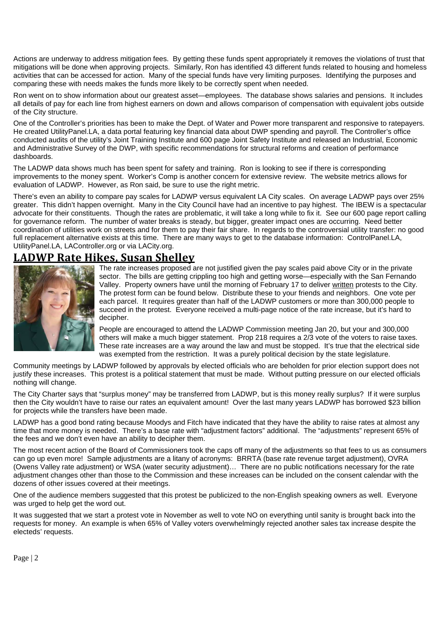Actions are underway to address mitigation fees. By getting these funds spent appropriately it removes the violations of trust that mitigations will be done when approving projects. Similarly, Ron has identified 43 different funds related to housing and homeless activities that can be accessed for action. Many of the special funds have very limiting purposes. Identifying the purposes and comparing these with needs makes the funds more likely to be correctly spent when needed.

Ron went on to show information about our greatest asset—employees. The database shows salaries and pensions. It includes all details of pay for each line from highest earners on down and allows comparison of compensation with equivalent jobs outside of the City structure.

One of the Controller's priorities has been to make the Dept. of Water and Power more transparent and responsive to ratepayers. He created UtilityPanel.LA, a data portal featuring key financial data about DWP spending and payroll. The Controller's office conducted audits of the utility's Joint Training Institute and 600 page Joint Safety Institute and released an Industrial, Economic and Administrative Survey of the DWP, with specific recommendations for structural reforms and creation of performance dashboards.

The LADWP data shows much has been spent for safety and training. Ron is looking to see if there is corresponding improvements to the money spent. Worker's Comp is another concern for extensive review. The website metrics allows for evaluation of LADWP. However, as Ron said, be sure to use the right metric.

There's even an ability to compare pay scales for LADWP versus equivalent LA City scales. On average LADWP pays over 25% greater. This didn't happen overnight. Many in the City Council have had an incentive to pay highest. The IBEW is a spectacular advocate for their constituents. Though the rates are problematic, it will take a long while to fix it. See our 600 page report calling for governance reform. The number of water breaks is steady, but bigger, greater impact ones are occurring. Need better coordination of utilities work on streets and for them to pay their fair share. In regards to the controversial utility transfer: no good full replacement alternative exists at this time. There are many ways to get to the database information: ControlPanel.LA, UtilityPanel.LA, LAController.org or via LACity.org.

## **LADWP Rate Hikes, Susan Shelley**



The rate increases proposed are not justified given the pay scales paid above City or in the private sector. The bills are getting crippling too high and getting worse—especially with the San Fernando Valley. Property owners have until the morning of February 17 to deliver written protests to the City. The protest form can be found below. Distribute these to your friends and neighbors. One vote per each parcel. It requires greater than half of the LADWP customers or more than 300,000 people to succeed in the protest. Everyone received a multi-page notice of the rate increase, but it's hard to decipher.

People are encouraged to attend the LADWP Commission meeting Jan 20, but your and 300,000 others will make a much bigger statement. Prop 218 requires a 2/3 vote of the voters to raise taxes. These rate increases are a way around the law and must be stopped. It's true that the electrical side was exempted from the restriction. It was a purely political decision by the state legislature.

Community meetings by LADWP followed by approvals by elected officials who are beholden for prior election support does not justify these increases. This protest is a political statement that must be made. Without putting pressure on our elected officials nothing will change.

The City Charter says that "surplus money" may be transferred from LADWP, but is this money really surplus? If it were surplus then the City wouldn't have to raise our rates an equivalent amount! Over the last many years LADWP has borrowed \$23 billion for projects while the transfers have been made.

LADWP has a good bond rating because Moodys and Fitch have indicated that they have the ability to raise rates at almost any time that more money is needed. There's a base rate with "adjustment factors" additional. The "adjustments" represent 65% of the fees and we don't even have an ability to decipher them.

The most recent action of the Board of Commissioners took the caps off many of the adjustments so that fees to us as consumers can go up even more! Sample adjustments are a litany of acronyms: BRRTA (base rate revenue target adjustment), OVRA (Owens Valley rate adjustment) or WSA (water security adjustment)… There are no public notifications necessary for the rate adjustment changes other than those to the Commission and these increases can be included on the consent calendar with the dozens of other issues covered at their meetings.

One of the audience members suggested that this protest be publicized to the non-English speaking owners as well. Everyone was urged to help get the word out.

It was suggested that we start a protest vote in November as well to vote NO on everything until sanity is brought back into the requests for money. An example is when 65% of Valley voters overwhelmingly rejected another sales tax increase despite the electeds' requests.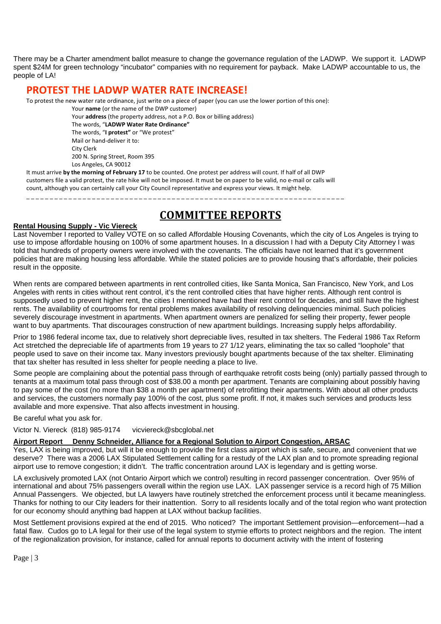There may be a Charter amendment ballot measure to change the governance regulation of the LADWP. We support it. LADWP spent \$24M for green technology "incubator" companies with no requirement for payback. Make LADWP accountable to us, the people of LA!

## **PROTEST THE LADWP WATER RATE INCREASE!**

To protest the new water rate ordinance, just write on a piece of paper (you can use the lower portion of this one):

Your **name** (or the name of the DWP customer)

Your **address** (the property address, not a P.O. Box or billing address) The words, "**LADWP Water Rate Ordinance"** The words, "**I protest"** or "We protest" Mail or hand-deliver it to: City Clerk 200 N. Spring Street, Room 395 Los Angeles, CA 90012

It must arrive **by the morning of February 17** to be counted. One protest per address will count. If half of all DWP customers file a valid protest, the rate hike will not be imposed. It must be on paper to be valid, no e-mail or calls will count, although you can certainly call your City Council representative and express your views. It might help.

\_ \_ \_ \_ \_ \_ \_ \_ \_ \_ \_ \_ \_ \_ \_ \_ \_ \_ \_ \_ \_ \_ \_ \_ \_ \_ \_ \_ \_ \_ \_ \_ \_ \_ \_ \_ \_ \_ \_ \_ \_ \_ \_ \_ \_ \_ \_ \_ \_ \_ \_ \_ \_ \_ \_ \_ \_ \_ \_ \_ \_ \_ \_ \_ \_ \_ \_ \_

# **COMMITTEE REPORTS**

### **Rental Housing Supply - Vic Viereck**

Last November I reported to Valley VOTE on so called Affordable Housing Covenants, which the city of Los Angeles is trying to use to impose affordable housing on 100% of some apartment houses. In a discussion I had with a Deputy City Attorney I was told that hundreds of property owners were involved with the covenants. The officials have not learned that it's government policies that are making housing less affordable. While the stated policies are to provide housing that's affordable, their policies result in the opposite.

When rents are compared between apartments in rent controlled cities, like Santa Monica, San Francisco, New York, and Los Angeles with rents in cities without rent control, it's the rent controlled cities that have higher rents. Although rent control is supposedly used to prevent higher rent, the cities I mentioned have had their rent control for decades, and still have the highest rents. The availability of courtrooms for rental problems makes availability of resolving delinquencies minimal. Such policies severely discourage investment in apartments. When apartment owners are penalized for selling their property, fewer people want to buy apartments. That discourages construction of new apartment buildings. Increasing supply helps affordability.

Prior to 1986 federal income tax, due to relatively short depreciable lives, resulted in tax shelters. The Federal 1986 Tax Reform Act stretched the depreciable life of apartments from 19 years to 27 1/12 years, eliminating the tax so called "loophole" that people used to save on their income tax. Many investors previously bought apartments because of the tax shelter. Eliminating that tax shelter has resulted in less shelter for people needing a place to live.

Some people are complaining about the potential pass through of earthquake retrofit costs being (only) partially passed through to tenants at a maximum total pass through cost of \$38.00 a month per apartment. Tenants are complaining about possibly having to pay some of the cost (no more than \$38 a month per apartment) of retrofitting their apartments. With about all other products and services, the customers normally pay 100% of the cost, plus some profit. If not, it makes such services and products less available and more expensive. That also affects investment in housing.

Be careful what you ask for.

Victor N. Viereck (818) 985-9174 vicviereck@sbcglobal.net

## **Airport Report Denny Schneider, Alliance for a Regional Solution to Airport Congestion, ARSAC**

Yes, LAX is being improved, but will it be enough to provide the first class airport which is safe, secure, and convenient that we deserve? There was a 2006 LAX Stipulated Settlement calling for a restudy of the LAX plan and to promote spreading regional airport use to remove congestion; it didn't. The traffic concentration around LAX is legendary and is getting worse.

LA exclusively promoted LAX (not Ontario Airport which we control) resulting in record passenger concentration. Over 95% of international and about 75% passengers overall within the region use LAX. LAX passenger service is a record high of 75 Million Annual Passengers. We objected, but LA lawyers have routinely stretched the enforcement process until it became meaningless. Thanks for nothing to our City leaders for their inattention. Sorry to all residents locally and of the total region who want protection for our economy should anything bad happen at LAX without backup facilities.

Most Settlement provisions expired at the end of 2015. Who noticed? The important Settlement provision—enforcement—had a fatal flaw. Cudos go to LA legal for their use of the legal system to stymie efforts to protect neighbors and the region. The intent of the regionalization provision, for instance, called for annual reports to document activity with the intent of fostering

Page | 3